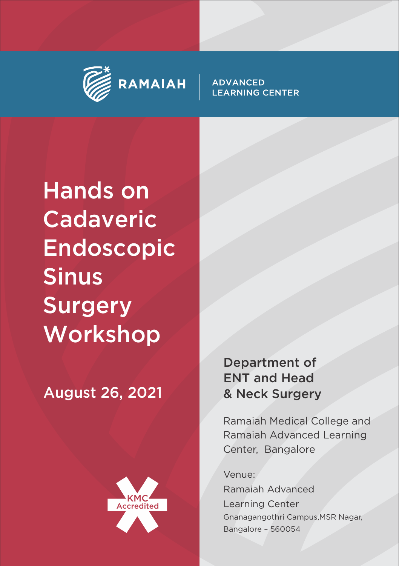



Hands on Cadaveric Endoscopic Sinus Surgery **Workshop** 

August 26, 2021



Department of ENT and Head & Neck Surgery

Ramaiah Medical College and Ramaiah Advanced Learning Center, Bangalore

Venue:

Ramaiah Advanced Learning Center Gnanagangothri Campus,MSR Nagar, Bangalore – 560054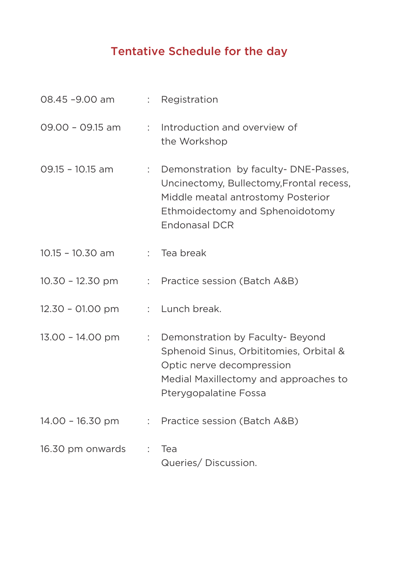## Tentative Schedule for the day

| 08.45 -9.00 am     |                | : Registration                                                                                                                                                                    |
|--------------------|----------------|-----------------------------------------------------------------------------------------------------------------------------------------------------------------------------------|
| $09.00 - 09.15$ am | t.             | Introduction and overview of<br>the Workshop                                                                                                                                      |
| $09.15 - 10.15$ am | t.             | Demonstration by faculty-DNE-Passes,<br>Uncinectomy, Bullectomy, Frontal recess,<br>Middle meatal antrostomy Posterior<br>Ethmoidectomy and Sphenoidotomy<br><b>Endonasal DCR</b> |
| $10.15 - 10.30$ am | t.             | Tea break                                                                                                                                                                         |
| $10.30 - 12.30$ pm |                | : Practice session (Batch A&B)                                                                                                                                                    |
| 12.30 - 01.00 pm   |                | : Lunch break.                                                                                                                                                                    |
| 13.00 - 14.00 pm   | ÷.             | Demonstration by Faculty- Beyond<br>Sphenoid Sinus, Orbititomies, Orbital &<br>Optic nerve decompression<br>Medial Maxillectomy and approaches to<br>Pterygopalatine Fossa        |
| $14.00 - 16.30$ pm | $\mathbb{R}^n$ | Practice session (Batch A&B)                                                                                                                                                      |
| 16.30 pm onwards   | ÷              | Tea<br>Queries/Discussion.                                                                                                                                                        |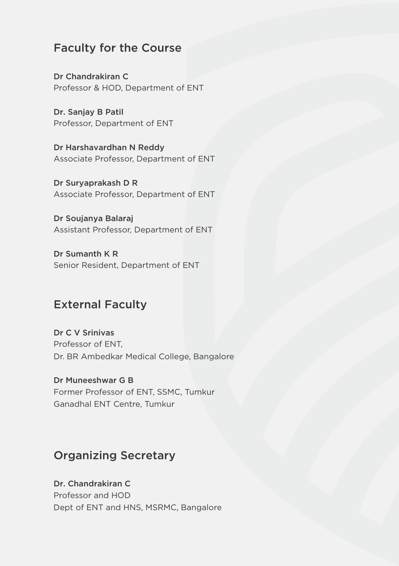#### Faculty for the Course

Dr Chandrakiran C Professor & HOD, Department of ENT

Dr. Sanjay B Patil Professor, Department of ENT

Dr Harshavardhan N Reddy Associate Professor, Department of ENT

Dr Suryaprakash D R Associate Professor, Department of ENT

Dr Soujanya Balaraj Assistant Professor, Department of ENT

Dr Sumanth K R Senior Resident, Department of ENT

## External Faculty

Dr C V Srinivas Professor of ENT, Dr. BR Ambedkar Medical College, Bangalore

Dr Muneeshwar G B Former Professor of ENT, SSMC, Tumkur Ganadhal ENT Centre, Tumkur

### Organizing Secretary

Dr. Chandrakiran C Professor and HOD Dept of ENT and HNS, MSRMC, Bangalore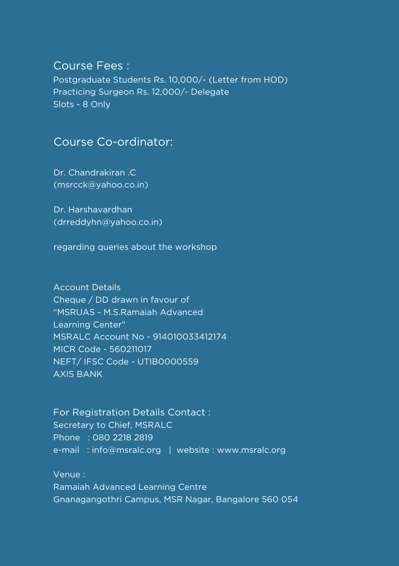#### Course Fees :

Postgraduate Students Rs. 10,000/- (Letter from HOD) Practicing Surgeon Rs. 12,000/- Delegate Slots - 8 Only

#### Course Co-ordinator:

Dr. Chandrakiran .C (msrcck@yahoo.co.in)

Dr. Harshavardhan (drreddyhn@yahoo.co.in)

regarding queries about the workshop

Account Details Cheque / DD drawn in favour of "MSRUAS - M.S.Ramaiah Advanced Learning Center" MSRALC Account No - 914010033412174 MICR Code - 560211017 NEFT/ IFSC Code - UTIB0000559 AXIS BANK

For Registration Details Contact : Secretary to Chief, MSRALC Phone : 080 2218 2819 e-mail: info@msralc.org | website : www.msralc.org

Venue : Ramaiah Advanced Learning Centre Gnanagangothri Campus, MSR Nagar, Bangalore 560 054